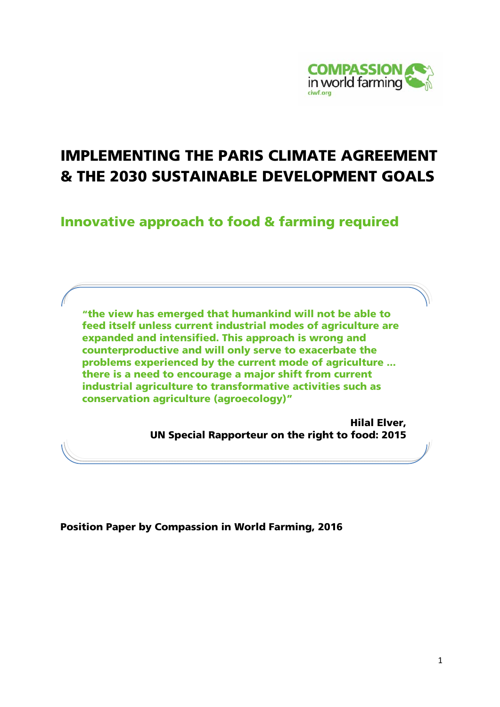

# IMPLEMENTING THE PARIS CLIMATE AGREEMENT & THE 2030 SUSTAINABLE DEVELOPMENT GOALS

Innovative approach to food & farming required

"the view has emerged that humankind will not be able to feed itself unless current industrial modes of agriculture are expanded and intensified. This approach is wrong and counterproductive and will only serve to exacerbate the problems experienced by the current mode of agriculture ... there is a need to encourage a major shift from current industrial agriculture to transformative activities such as conservation agriculture (agroecology)"

> Hilal Elver, UN Special Rapporteur on the right to food: 2015

Position Paper by Compassion in World Farming, 2016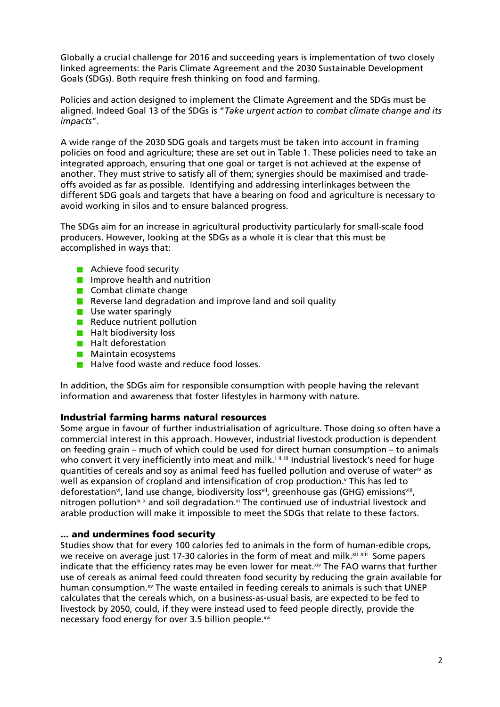Globally a crucial challenge for 2016 and succeeding years is implementation of two closely linked agreements: the Paris Climate Agreement and the 2030 Sustainable Development Goals (SDGs). Both require fresh thinking on food and farming.

Policies and action designed to implement the Climate Agreement and the SDGs must be aligned. Indeed Goal 13 of the SDGs is "*Take urgent action to combat climate change and its impacts*".

A wide range of the 2030 SDG goals and targets must be taken into account in framing policies on food and agriculture; these are set out in Table 1. These policies need to take an integrated approach, ensuring that one goal or target is not achieved at the expense of another. They must strive to satisfy all of them; synergies should be maximised and tradeoffs avoided as far as possible. Identifying and addressing interlinkages between the different SDG goals and targets that have a bearing on food and agriculture is necessary to avoid working in silos and to ensure balanced progress.

The SDGs aim for an increase in agricultural productivity particularly for small-scale food producers. However, looking at the SDGs as a whole it is clear that this must be accomplished in ways that:

- **Achieve food security**
- **I** Improve health and nutrition
- $\blacksquare$  Combat climate change
- Reverse land degradation and improve land and soil quality
- **Use water sparingly**
- Reduce nutrient pollution
- $\blacksquare$  Halt biodiversity loss
- **Halt deforestation**
- **Maintain ecosystems**
- **Halve food waste and reduce food losses.**

In addition, the SDGs aim for responsible consumption with people having the relevant information and awareness that foster lifestyles in harmony with nature.

## Industrial farming harms natural resources

Some argue in favour of further industrialisation of agriculture. Those doing so often have a commercial interest in this approach. However, industrial livestock production is dependent on feeding grain – much of which could be used for direct human consumption – to animals who convert it very inefficiently into meat and milk.<sup>iiii</sup> Industrial livestock's need for huge quantities of cereals and soy as animal feed has fuelled pollution and overuse of wateriv as well as expansion of cropland and intensification of crop production.<sup>v</sup> This has led to deforestation<sup>vi</sup>, land use change, biodiversity loss<sup>vii</sup>, greenhouse gas (GHG) emissions<sup>vii</sup>, nitrogen pollution<sup>ix x</sup> and soil degradation.<sup>xi</sup> The continued use of industrial livestock and arable production will make it impossible to meet the SDGs that relate to these factors.

## ... and undermines food security

Studies show that for every 100 calories fed to animals in the form of human-edible crops, we receive on average just 17-30 calories in the form of meat and milk.xii xiii Some papers indicate that the efficiency rates may be even lower for meat. Xiv The FAO warns that further use of cereals as animal feed could threaten food security by reducing the grain available for human consumption.<sup>xv</sup> The waste entailed in feeding cereals to animals is such that UNEP calculates that the cereals which, on a business-as-usual basis, are expected to be fed to livestock by 2050, could, if they were instead used to feed people directly, provide the necessary food energy for over 3.5 billion people.<sup>xvi</sup>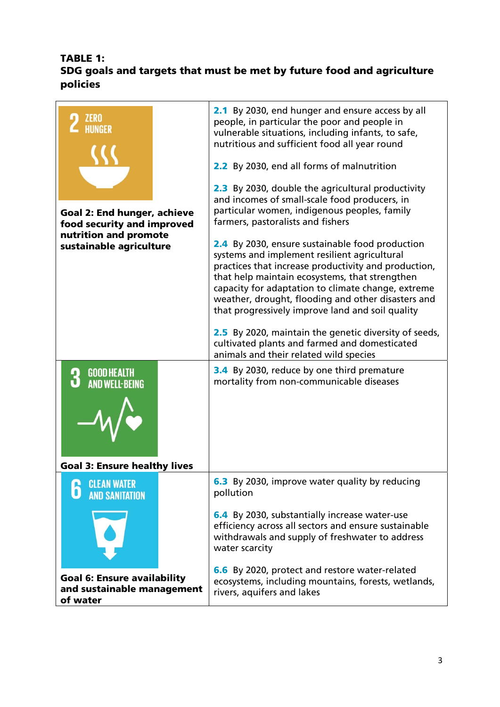# TABLE 1: SDG goals and targets that must be met by future food and agriculture policies

| <b>ZERO</b><br><b>Goal 2: End hunger, achieve</b><br>food security and improved<br>nutrition and promote<br>sustainable agriculture<br><b>GOOD HEALTH</b><br><b>AND WELL-BEING</b> | 2.1 By 2030, end hunger and ensure access by all<br>people, in particular the poor and people in<br>vulnerable situations, including infants, to safe,<br>nutritious and sufficient food all year round<br>2.2 By 2030, end all forms of malnutrition<br><b>2.3</b> By 2030, double the agricultural productivity<br>and incomes of small-scale food producers, in<br>particular women, indigenous peoples, family<br>farmers, pastoralists and fishers<br><b>2.4</b> By 2030, ensure sustainable food production<br>systems and implement resilient agricultural<br>practices that increase productivity and production,<br>that help maintain ecosystems, that strengthen<br>capacity for adaptation to climate change, extreme<br>weather, drought, flooding and other disasters and<br>that progressively improve land and soil quality<br>2.5 By 2020, maintain the genetic diversity of seeds,<br>cultivated plants and farmed and domesticated<br>animals and their related wild species<br>3.4 By 2030, reduce by one third premature<br>mortality from non-communicable diseases |
|------------------------------------------------------------------------------------------------------------------------------------------------------------------------------------|-------------------------------------------------------------------------------------------------------------------------------------------------------------------------------------------------------------------------------------------------------------------------------------------------------------------------------------------------------------------------------------------------------------------------------------------------------------------------------------------------------------------------------------------------------------------------------------------------------------------------------------------------------------------------------------------------------------------------------------------------------------------------------------------------------------------------------------------------------------------------------------------------------------------------------------------------------------------------------------------------------------------------------------------------------------------------------------------|
| <b>Goal 3: Ensure healthy lives</b>                                                                                                                                                |                                                                                                                                                                                                                                                                                                                                                                                                                                                                                                                                                                                                                                                                                                                                                                                                                                                                                                                                                                                                                                                                                           |
| <b>CLEAN WATER</b>                                                                                                                                                                 | 6.3 By 2030, improve water quality by reducing                                                                                                                                                                                                                                                                                                                                                                                                                                                                                                                                                                                                                                                                                                                                                                                                                                                                                                                                                                                                                                            |
| <b>AND SANITATION</b>                                                                                                                                                              | pollution                                                                                                                                                                                                                                                                                                                                                                                                                                                                                                                                                                                                                                                                                                                                                                                                                                                                                                                                                                                                                                                                                 |
|                                                                                                                                                                                    | 6.4 By 2030, substantially increase water-use<br>efficiency across all sectors and ensure sustainable<br>withdrawals and supply of freshwater to address<br>water scarcity                                                                                                                                                                                                                                                                                                                                                                                                                                                                                                                                                                                                                                                                                                                                                                                                                                                                                                                |
| <b>Goal 6: Ensure availability</b><br>and sustainable management<br>of water                                                                                                       | 6.6 By 2020, protect and restore water-related<br>ecosystems, including mountains, forests, wetlands,<br>rivers, aquifers and lakes                                                                                                                                                                                                                                                                                                                                                                                                                                                                                                                                                                                                                                                                                                                                                                                                                                                                                                                                                       |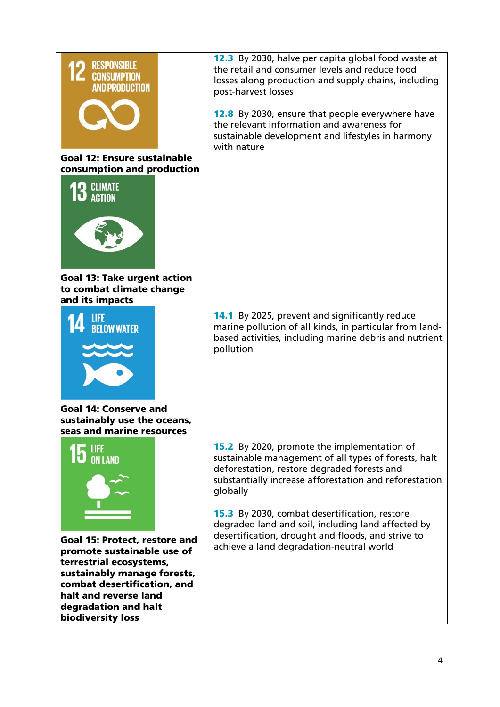| <b>RESPONSIBLE</b><br><b>CONSUMPTION</b><br><b>AND PRODUCTION</b><br><b>Goal 12: Ensure sustainable</b><br>consumption and production                                                                                      | <b>12.3</b> By 2030, halve per capita global food waste at<br>the retail and consumer levels and reduce food<br>losses along production and supply chains, including<br>post-harvest losses<br>12.8 By 2030, ensure that people everywhere have<br>the relevant information and awareness for<br>sustainable development and lifestyles in harmony<br>with nature                                                                               |
|----------------------------------------------------------------------------------------------------------------------------------------------------------------------------------------------------------------------------|-------------------------------------------------------------------------------------------------------------------------------------------------------------------------------------------------------------------------------------------------------------------------------------------------------------------------------------------------------------------------------------------------------------------------------------------------|
| $\bf{13}$ climate<br><b>Goal 13: Take urgent action</b><br>to combat climate change<br>and its impacts                                                                                                                     |                                                                                                                                                                                                                                                                                                                                                                                                                                                 |
| <b>BELOW WATER</b><br><b>Goal 14: Conserve and</b><br>sustainably use the oceans,<br>seas and marine resources                                                                                                             | <b>14.1</b> By 2025, prevent and significantly reduce<br>marine pollution of all kinds, in particular from land-<br>based activities, including marine debris and nutrient<br>pollution                                                                                                                                                                                                                                                         |
| Goal 15: Protect, restore and<br>promote sustainable use of<br>terrestrial ecosystems,<br>sustainably manage forests,<br>combat desertification, and<br>halt and reverse land<br>degradation and halt<br>biodiversity loss | <b>15.2</b> By 2020, promote the implementation of<br>sustainable management of all types of forests, halt<br>deforestation, restore degraded forests and<br>substantially increase afforestation and reforestation<br>globally<br><b>15.3</b> By 2030, combat desertification, restore<br>degraded land and soil, including land affected by<br>desertification, drought and floods, and strive to<br>achieve a land degradation-neutral world |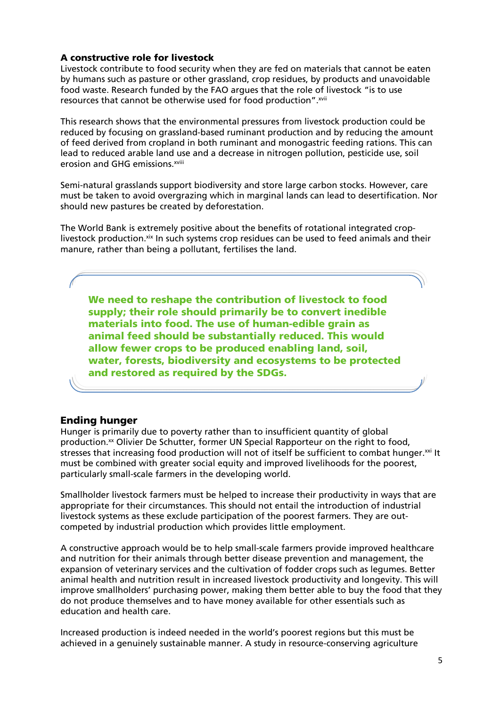## A constructive role for livestock

Livestock contribute to food security when they are fed on materials that cannot be eaten by humans such as pasture or other grassland, crop residues, by products and unavoidable food waste. Research funded by the FAO argues that the role of livestock "is to use resources that cannot be otherwise used for food production". xvii

This research shows that the environmental pressures from livestock production could be reduced by focusing on grassland-based ruminant production and by reducing the amount of feed derived from cropland in both ruminant and monogastric feeding rations. This can lead to reduced arable land use and a decrease in nitrogen pollution, pesticide use, soil erosion and GHG emissions.<sup>xviii</sup>

Semi-natural grasslands support biodiversity and store large carbon stocks. However, care must be taken to avoid overgrazing which in marginal lands can lead to desertification. Nor should new pastures be created by deforestation.

The World Bank is extremely positive about the benefits of rotational integrated croplivestock production.xix In such systems crop residues can be used to feed animals and their manure, rather than being a pollutant, fertilises the land.

We need to reshape the contribution of livestock to food supply; their role should primarily be to convert inedible materials into food. The use of human-edible grain as animal feed should be substantially reduced. This would allow fewer crops to be produced enabling land, soil, water, forests, biodiversity and ecosystems to be protected and restored as required by the SDGs.

# Ending hunger

Hunger is primarily due to poverty rather than to insufficient quantity of global production.<sup>xx</sup> Olivier De Schutter, former UN Special Rapporteur on the right to food, stresses that increasing food production will not of itself be sufficient to combat hunger.<sup>xxi</sup> It must be combined with greater social equity and improved livelihoods for the poorest, particularly small-scale farmers in the developing world.

Smallholder livestock farmers must be helped to increase their productivity in ways that are appropriate for their circumstances. This should not entail the introduction of industrial livestock systems as these exclude participation of the poorest farmers. They are outcompeted by industrial production which provides little employment.

A constructive approach would be to help small-scale farmers provide improved healthcare and nutrition for their animals through better disease prevention and management, the expansion of veterinary services and the cultivation of fodder crops such as legumes. Better animal health and nutrition result in increased livestock productivity and longevity. This will improve smallholders' purchasing power, making them better able to buy the food that they do not produce themselves and to have money available for other essentials such as education and health care.

Increased production is indeed needed in the world's poorest regions but this must be achieved in a genuinely sustainable manner. A study in resource-conserving agriculture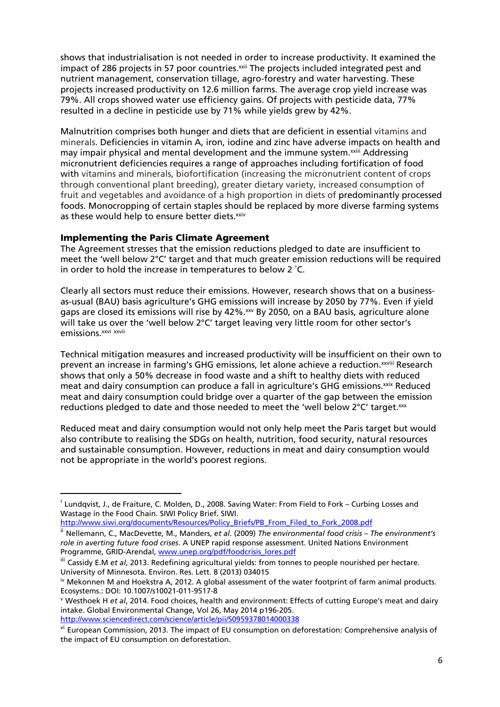shows that industrialisation is not needed in order to increase productivity. It examined the impact of 286 projects in 57 poor countries.<sup>xxii</sup> The projects included integrated pest and nutrient management, conservation tillage, agro-forestry and water harvesting. These projects increased productivity on 12.6 million farms. The average crop yield increase was 79%. All crops showed water use efficiency gains. Of projects with pesticide data, 77% resulted in a decline in pesticide use by 71% while yields grew by 42%.

Malnutrition comprises both hunger and diets that are deficient in essential vitamins and minerals. Deficiencies in vitamin A, iron, iodine and zinc have adverse impacts on health and may impair physical and mental development and the immune system.<sup>xxiii</sup> Addressing micronutrient deficiencies requires a range of approaches including fortification of food with vitamins and minerals, biofortification (increasing the micronutrient content of crops through conventional plant breeding), greater dietary variety, increased consumption of fruit and vegetables and avoidance of a high proportion in diets of predominantly processed foods. Monocropping of certain staples should be replaced by more diverse farming systems as these would help to ensure better diets.xxiv

## Implementing the Paris Climate Agreement

The Agreement stresses that the emission reductions pledged to date are insufficient to meet the 'well below 2°C' target and that much greater emission reductions will be required in order to hold the increase in temperatures to below 2 ˚C.

Clearly all sectors must reduce their emissions. However, research shows that on a businessas-usual (BAU) basis agriculture's GHG emissions will increase by 2050 by 77%. Even if yield gaps are closed its emissions will rise by 42%.<sup>xxv</sup> By 2050, on a BAU basis, agriculture alone will take us over the 'well below 2°C' target leaving very little room for other sector's emissions.<sup>xxvi</sup> xxvii

Technical mitigation measures and increased productivity will be insufficient on their own to prevent an increase in farming's GHG emissions, let alone achieve a reduction.xxviii Research shows that only a 50% decrease in food waste and a shift to healthy diets with reduced meat and dairy consumption can produce a fall in agriculture's GHG emissions.<sup>xxix</sup> Reduced meat and dairy consumption could bridge over a quarter of the gap between the emission reductions pledged to date and those needed to meet the 'well below 2°C' target.xxx

Reduced meat and dairy consumption would not only help meet the Paris target but would also contribute to realising the SDGs on health, nutrition, food security, natural resources and sustainable consumption. However, reductions in meat and dairy consumption would not be appropriate in the world's poorest regions.

http://www.siwi.org/documents/Resources/Policy\_Briefs/PB\_From\_Filed\_to\_Fork\_2008.pdf

<sup>&</sup>lt;sup>i</sup> Lundqvist, J., de Fraiture, C. Molden, D., 2008. Saving Water: From Field to Fork – Curbing Losses and Wastage in the Food Chain. SIWI Policy Brief. SIWI.

ii Nellemann, C., MacDevette, M., Manders, *et al*. (2009) *The environmental food crisis – The environment's role in averting future food crises*. A UNEP rapid response assessment. United Nations Environment Programme, GRID-Arendal, www.unep.org/pdf/foodcrisis\_lores.pdf

iii Cassidy E.M et al, 2013. Redefining agricultural yields: from tonnes to people nourished per hectare. University of Minnesota. Environ. Res. Lett. 8 (2013) 034015

iv Mekonnen M and Hoekstra A, 2012. A global assessment of the water footprint of farm animal products. Ecosystems.: DOI: 10.1007/s10021-011-9517-8

<sup>v</sup> Westhoek H *et al*, 2014. Food choices, health and environment: Effects of cutting Europe's meat and dairy intake. Global Environmental Change, Vol 26, May 2014 p196-205. http://www.sciencedirect.com/science/article/pii/S0959378014000338

vi European Commission, 2013. The impact of EU consumption on deforestation: Comprehensive analysis of the impact of EU consumption on deforestation.